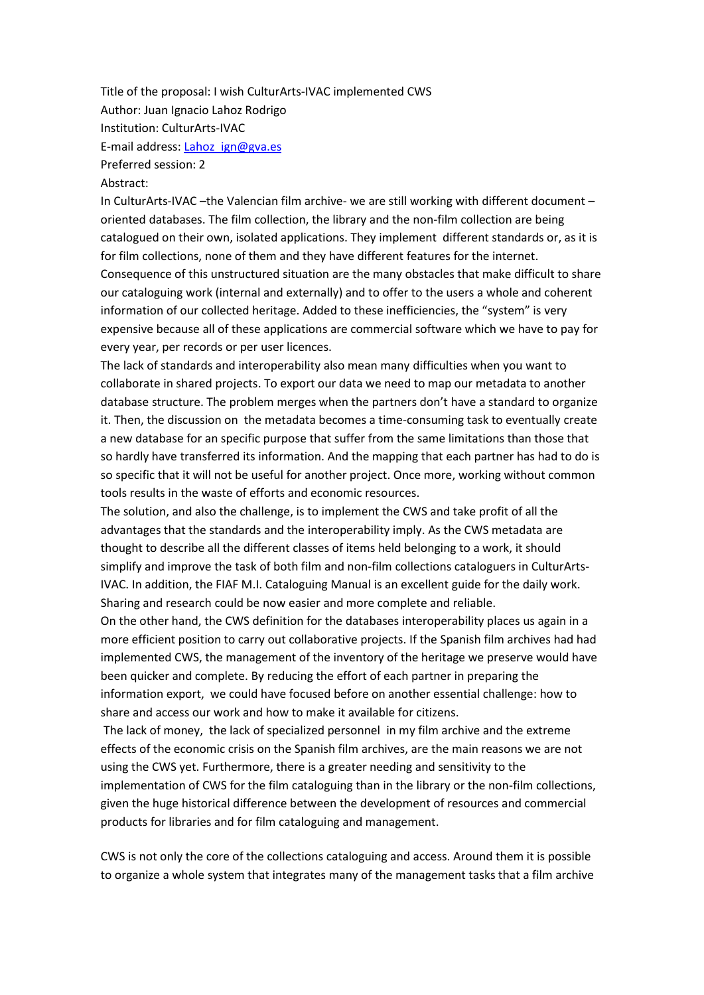Title of the proposal: I wish CulturArts-IVAC implemented CWS Author: Juan Ignacio Lahoz Rodrigo Institution: CulturArts-IVAC E-mail address[: Lahoz\\_ign@gva.es](mailto:Lahoz_ign@gva.es) Preferred session: 2

## Abstract:

In CulturArts-IVAC –the Valencian film archive- we are still working with different document – oriented databases. The film collection, the library and the non-film collection are being catalogued on their own, isolated applications. They implement different standards or, as it is for film collections, none of them and they have different features for the internet. Consequence of this unstructured situation are the many obstacles that make difficult to share our cataloguing work (internal and externally) and to offer to the users a whole and coherent information of our collected heritage. Added to these inefficiencies, the "system" is very expensive because all of these applications are commercial software which we have to pay for every year, per records or per user licences.

The lack of standards and interoperability also mean many difficulties when you want to collaborate in shared projects. To export our data we need to map our metadata to another database structure. The problem merges when the partners don't have a standard to organize it. Then, the discussion on the metadata becomes a time-consuming task to eventually create a new database for an specific purpose that suffer from the same limitations than those that so hardly have transferred its information. And the mapping that each partner has had to do is so specific that it will not be useful for another project. Once more, working without common tools results in the waste of efforts and economic resources.

The solution, and also the challenge, is to implement the CWS and take profit of all the advantages that the standards and the interoperability imply. As the CWS metadata are thought to describe all the different classes of items held belonging to a work, it should simplify and improve the task of both film and non-film collections cataloguers in CulturArts-IVAC. In addition, the FIAF M.I. Cataloguing Manual is an excellent guide for the daily work. Sharing and research could be now easier and more complete and reliable.

On the other hand, the CWS definition for the databases interoperability places us again in a more efficient position to carry out collaborative projects. If the Spanish film archives had had implemented CWS, the management of the inventory of the heritage we preserve would have been quicker and complete. By reducing the effort of each partner in preparing the information export, we could have focused before on another essential challenge: how to share and access our work and how to make it available for citizens.

The lack of money, the lack of specialized personnel in my film archive and the extreme effects of the economic crisis on the Spanish film archives, are the main reasons we are not using the CWS yet. Furthermore, there is a greater needing and sensitivity to the implementation of CWS for the film cataloguing than in the library or the non-film collections, given the huge historical difference between the development of resources and commercial products for libraries and for film cataloguing and management.

CWS is not only the core of the collections cataloguing and access. Around them it is possible to organize a whole system that integrates many of the management tasks that a film archive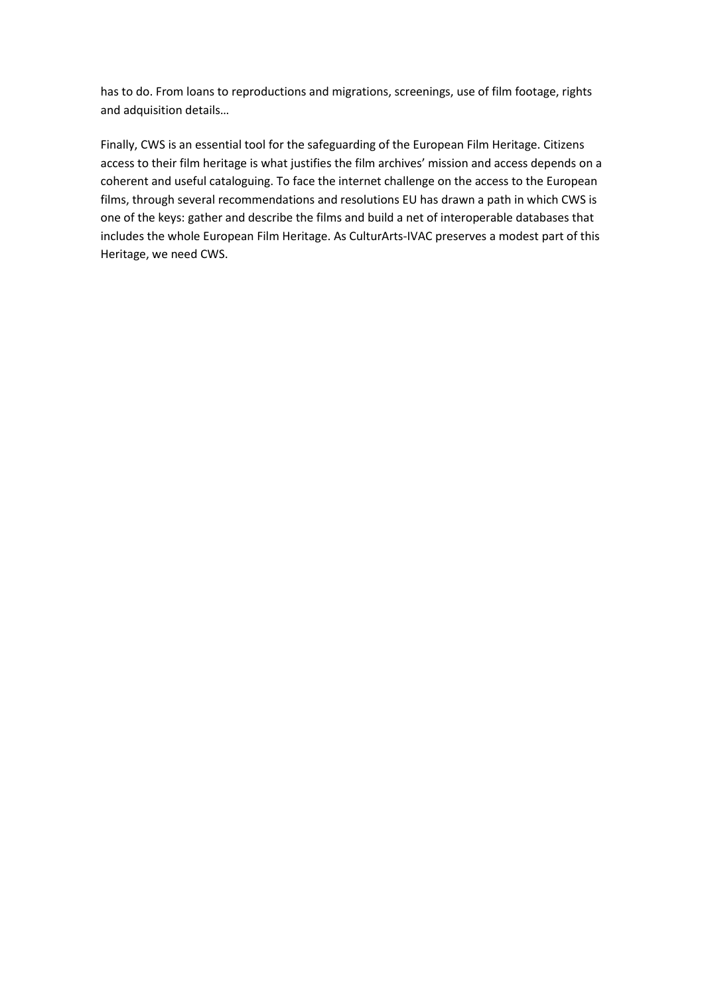has to do. From loans to reproductions and migrations, screenings, use of film footage, rights and adquisition details…

Finally, CWS is an essential tool for the safeguarding of the European Film Heritage. Citizens access to their film heritage is what justifies the film archives' mission and access depends on a coherent and useful cataloguing. To face the internet challenge on the access to the European films, through several recommendations and resolutions EU has drawn a path in which CWS is one of the keys: gather and describe the films and build a net of interoperable databases that includes the whole European Film Heritage. As CulturArts-IVAC preserves a modest part of this Heritage, we need CWS.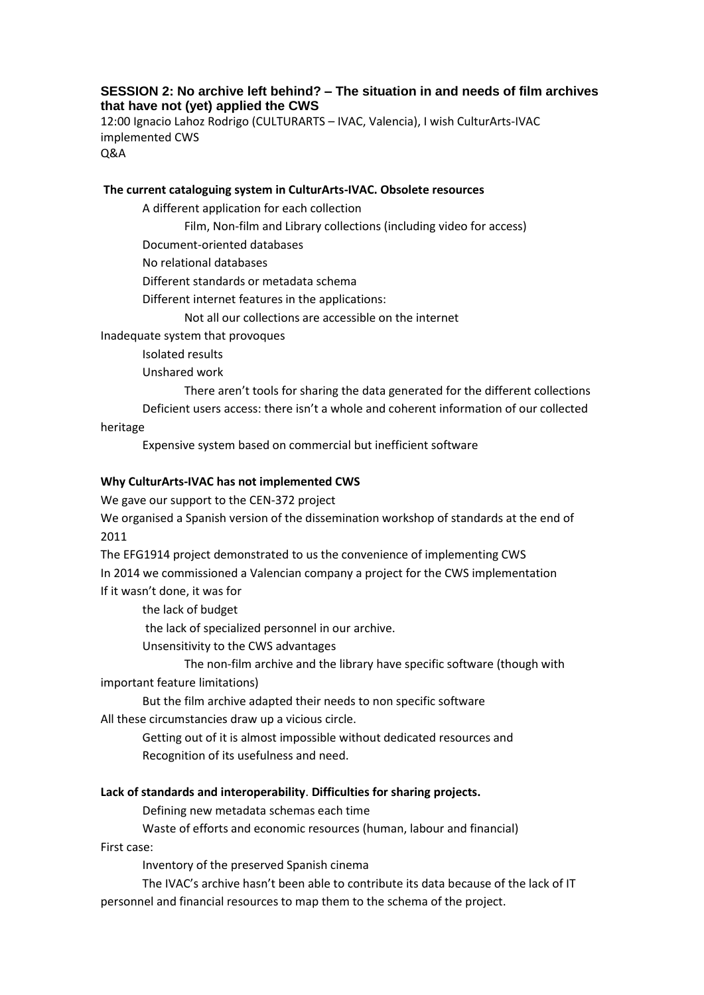# **SESSION 2: No archive left behind? – The situation in and needs of film archives that have not (yet) applied the CWS**

12:00 Ignacio Lahoz Rodrigo (CULTURARTS – IVAC, Valencia), I wish CulturArts-IVAC implemented CWS Q&A

**The current cataloguing system in CulturArts-IVAC. Obsolete resources**

A different application for each collection

Film, Non-film and Library collections (including video for access)

Document-oriented databases

No relational databases

Different standards or metadata schema

Different internet features in the applications:

Not all our collections are accessible on the internet

Inadequate system that provoques

Isolated results

Unshared work

There aren't tools for sharing the data generated for the different collections Deficient users access: there isn't a whole and coherent information of our collected

heritage

Expensive system based on commercial but inefficient software

#### **Why CulturArts-IVAC has not implemented CWS**

We gave our support to the CEN-372 project

We organised a Spanish version of the dissemination workshop of standards at the end of 2011

The EFG1914 project demonstrated to us the convenience of implementing CWS In 2014 we commissioned a Valencian company a project for the CWS implementation If it wasn't done, it was for

the lack of budget

the lack of specialized personnel in our archive.

Unsensitivity to the CWS advantages

The non-film archive and the library have specific software (though with important feature limitations)

But the film archive adapted their needs to non specific software

All these circumstancies draw up a vicious circle.

Getting out of it is almost impossible without dedicated resources and Recognition of its usefulness and need.

### **Lack of standards and interoperability**. **Difficulties for sharing projects.**

Defining new metadata schemas each time

Waste of efforts and economic resources (human, labour and financial)

First case:

Inventory of the preserved Spanish cinema

The IVAC's archive hasn't been able to contribute its data because of the lack of IT personnel and financial resources to map them to the schema of the project.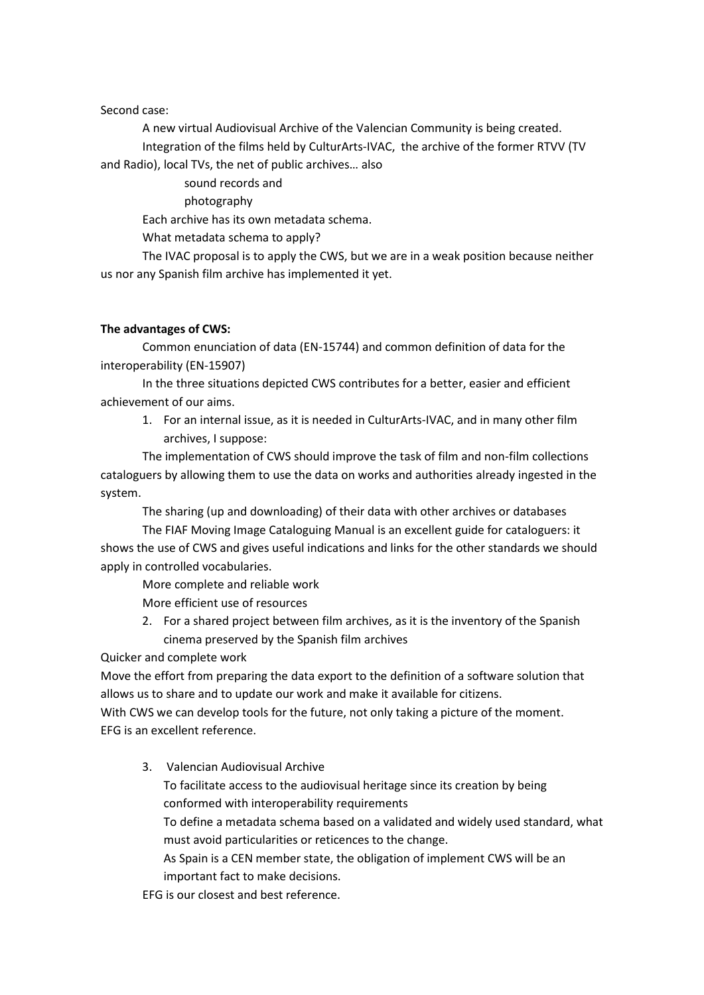### Second case:

A new virtual Audiovisual Archive of the Valencian Community is being created. Integration of the films held by CulturArts-IVAC, the archive of the former RTVV (TV and Radio), local TVs, the net of public archives… also

sound records and

photography

Each archive has its own metadata schema.

What metadata schema to apply?

The IVAC proposal is to apply the CWS, but we are in a weak position because neither us nor any Spanish film archive has implemented it yet.

# **The advantages of CWS:**

Common enunciation of data (EN-15744) and common definition of data for the interoperability (EN-15907)

In the three situations depicted CWS contributes for a better, easier and efficient achievement of our aims.

1. For an internal issue, as it is needed in CulturArts-IVAC, and in many other film archives, I suppose:

The implementation of CWS should improve the task of film and non-film collections cataloguers by allowing them to use the data on works and authorities already ingested in the system.

The sharing (up and downloading) of their data with other archives or databases

The FIAF Moving Image Cataloguing Manual is an excellent guide for cataloguers: it shows the use of CWS and gives useful indications and links for the other standards we should apply in controlled vocabularies.

More complete and reliable work More efficient use of resources

2. For a shared project between film archives, as it is the inventory of the Spanish cinema preserved by the Spanish film archives

Quicker and complete work

Move the effort from preparing the data export to the definition of a software solution that allows us to share and to update our work and make it available for citizens.

With CWS we can develop tools for the future, not only taking a picture of the moment. EFG is an excellent reference.

3. Valencian Audiovisual Archive

To facilitate access to the audiovisual heritage since its creation by being conformed with interoperability requirements

To define a metadata schema based on a validated and widely used standard, what must avoid particularities or reticences to the change.

As Spain is a CEN member state, the obligation of implement CWS will be an important fact to make decisions.

EFG is our closest and best reference.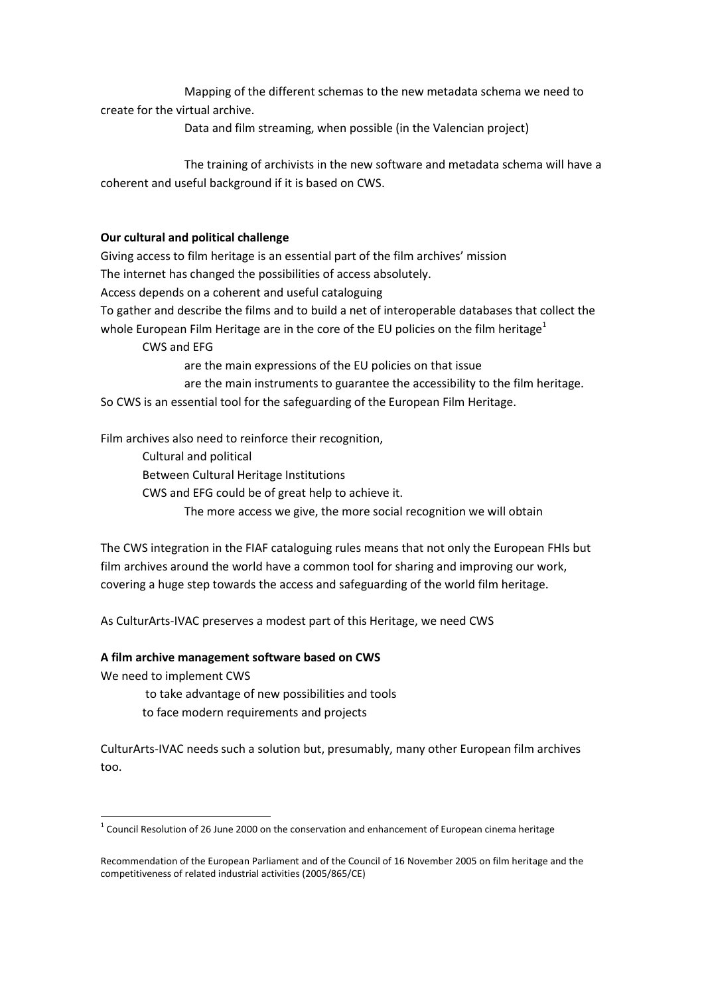Mapping of the different schemas to the new metadata schema we need to create for the virtual archive.

Data and film streaming, when possible (in the Valencian project)

The training of archivists in the new software and metadata schema will have a coherent and useful background if it is based on CWS.

## **Our cultural and political challenge**

Giving access to film heritage is an essential part of the film archives' mission The internet has changed the possibilities of access absolutely. Access depends on a coherent and useful cataloguing To gather and describe the films and to build a net of interoperable databases that collect the whole European Film Heritage are in the core of the EU policies on the film heritage<sup>1</sup>

CWS and EFG

are the main expressions of the EU policies on that issue

are the main instruments to guarantee the accessibility to the film heritage. So CWS is an essential tool for the safeguarding of the European Film Heritage.

Film archives also need to reinforce their recognition,

Cultural and political

Between Cultural Heritage Institutions

CWS and EFG could be of great help to achieve it.

The more access we give, the more social recognition we will obtain

The CWS integration in the FIAF cataloguing rules means that not only the European FHIs but film archives around the world have a common tool for sharing and improving our work, covering a huge step towards the access and safeguarding of the world film heritage.

As CulturArts-IVAC preserves a modest part of this Heritage, we need CWS

### **A film archive management software based on CWS**

We need to implement CWS

**.** 

to take advantage of new possibilities and tools

to face modern requirements and projects

CulturArts-IVAC needs such a solution but, presumably, many other European film archives too.

 $1$  Council Resolution of 26 June 2000 on the conservation and enhancement of European cinema heritage

Recommendation of the European Parliament and of the Council of 16 November 2005 on film heritage and the competitiveness of related industrial activities (2005/865/CE)